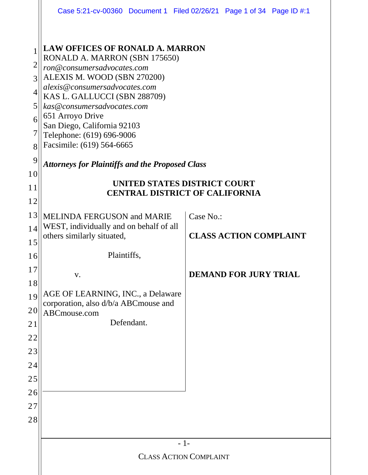|                                                              | Case 5:21-cv-00360 Document 1 Filed 02/26/21 Page 1 of 34 Page ID #:1                                                                                                                                                                                                                                                                                                                                                                      |       |           |                               |  |  |
|--------------------------------------------------------------|--------------------------------------------------------------------------------------------------------------------------------------------------------------------------------------------------------------------------------------------------------------------------------------------------------------------------------------------------------------------------------------------------------------------------------------------|-------|-----------|-------------------------------|--|--|
| 1<br>$\overline{2}$<br>3<br>4<br>5<br>6<br>7<br>8<br>9<br>10 | <b>LAW OFFICES OF RONALD A. MARRON</b><br>RONALD A. MARRON (SBN 175650)<br>ron@consumersadvocates.com<br>ALEXIS M. WOOD (SBN 270200)<br>alexis@consumersadvocates.com<br>KAS L. GALLUCCI (SBN 288709)<br>kas@consumersadvocates.com<br>651 Arroyo Drive<br>San Diego, California 92103<br>Telephone: (619) 696-9006<br>Facsimile: (619) 564-6665<br><b>Attorneys for Plaintiffs and the Proposed Class</b><br>UNITED STATES DISTRICT COURT |       |           |                               |  |  |
| 11<br>12                                                     | <b>CENTRAL DISTRICT OF CALIFORNIA</b>                                                                                                                                                                                                                                                                                                                                                                                                      |       |           |                               |  |  |
| 13                                                           | <b>MELINDA FERGUSON and MARIE</b>                                                                                                                                                                                                                                                                                                                                                                                                          |       | Case No.: |                               |  |  |
| 14                                                           | WEST, individually and on behalf of all                                                                                                                                                                                                                                                                                                                                                                                                    |       |           | <b>CLASS ACTION COMPLAINT</b> |  |  |
| 15                                                           | others similarly situated,                                                                                                                                                                                                                                                                                                                                                                                                                 |       |           |                               |  |  |
| 16                                                           | Plaintiffs,                                                                                                                                                                                                                                                                                                                                                                                                                                |       |           |                               |  |  |
| $17$                                                         | V.                                                                                                                                                                                                                                                                                                                                                                                                                                         |       |           | <b>DEMAND FOR JURY TRIAL</b>  |  |  |
| 18                                                           |                                                                                                                                                                                                                                                                                                                                                                                                                                            |       |           |                               |  |  |
| 19                                                           | AGE OF LEARNING, INC., a Delaware<br>corporation, also d/b/a ABCmouse and                                                                                                                                                                                                                                                                                                                                                                  |       |           |                               |  |  |
| 20                                                           | ABCmouse.com                                                                                                                                                                                                                                                                                                                                                                                                                               |       |           |                               |  |  |
| 21                                                           | Defendant.                                                                                                                                                                                                                                                                                                                                                                                                                                 |       |           |                               |  |  |
| 22                                                           |                                                                                                                                                                                                                                                                                                                                                                                                                                            |       |           |                               |  |  |
| 23                                                           |                                                                                                                                                                                                                                                                                                                                                                                                                                            |       |           |                               |  |  |
| 24                                                           |                                                                                                                                                                                                                                                                                                                                                                                                                                            |       |           |                               |  |  |
| 25<br>26                                                     |                                                                                                                                                                                                                                                                                                                                                                                                                                            |       |           |                               |  |  |
| 27                                                           |                                                                                                                                                                                                                                                                                                                                                                                                                                            |       |           |                               |  |  |
| 28                                                           |                                                                                                                                                                                                                                                                                                                                                                                                                                            |       |           |                               |  |  |
|                                                              |                                                                                                                                                                                                                                                                                                                                                                                                                                            |       |           |                               |  |  |
|                                                              |                                                                                                                                                                                                                                                                                                                                                                                                                                            | $-1-$ |           |                               |  |  |
|                                                              | <b>CLASS ACTION COMPLAINT</b>                                                                                                                                                                                                                                                                                                                                                                                                              |       |           |                               |  |  |
|                                                              |                                                                                                                                                                                                                                                                                                                                                                                                                                            |       |           |                               |  |  |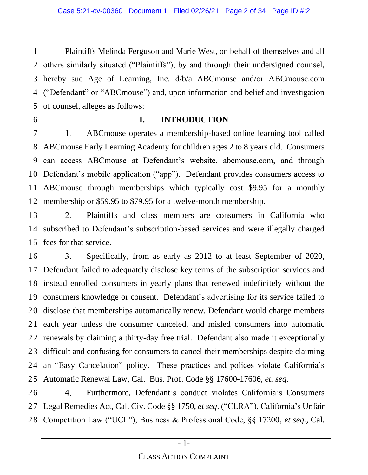1 2 3 4 5 Plaintiffs Melinda Ferguson and Marie West, on behalf of themselves and all others similarly situated ("Plaintiffs"), by and through their undersigned counsel, hereby sue Age of Learning, Inc. d/b/a ABCmouse and/or ABCmouse.com ("Defendant" or "ABCmouse") and, upon information and belief and investigation of counsel, alleges as follows:

#### 6

#### **I. INTRODUCTION**

7  $1.$ ABCmouse operates a membership-based online learning tool called ABCmouse Early Learning Academy for children ages 2 to 8 years old. Consumers 8 9 can access ABCmouse at Defendant's website, abcmouse.com, and through Defendant's mobile application ("app"). Defendant provides consumers access to 10<sup>II</sup> ABCmouse through memberships which typically cost \$9.95 for a monthly 11 membership or \$59.95 to \$79.95 for a twelve-month membership. 12

13  $2.$ Plaintiffs and class members are consumers in California who subscribed to Defendant's subscription-based services and were illegally charged 14 fees for that service. 15

16  $\overline{3}$ . Specifically, from as early as 2012 to at least September of 2020, Defendant failed to adequately disclose key terms of the subscription services and 17 18 instead enrolled consumers in yearly plans that renewed indefinitely without the 19 consumers knowledge or consent. Defendant's advertising for its service failed to disclose that memberships automatically renew, Defendant would charge members 20 each year unless the consumer canceled, and misled consumers into automatic 21 22 renewals by claiming a thirty-day free trial. Defendant also made it exceptionally 23 difficult and confusing for consumers to cancel their memberships despite claiming an "Easy Cancelation" policy. These practices and polices violate California's 24 Automatic Renewal Law, Cal. Bus. Prof. Code §§ 17600-17606, *et. seq*.  $25$ 

26 4. Furthermore, Defendant's conduct violates California's Consumers Legal Remedies Act, Cal. Civ. Code §§ 1750, *et seq*. ("CLRA"), California's Unfair 27 Competition Law ("UCL"), Business & Professional Code, §§ 17200, *et seq.,* Cal. 28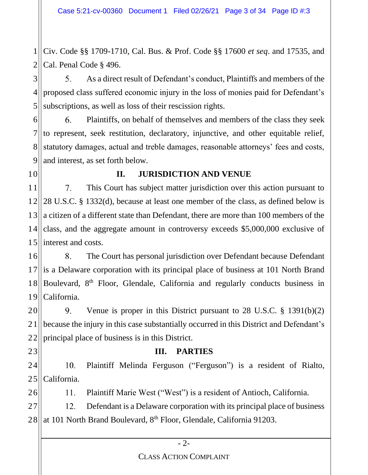1 2 Civ. Code §§ 1709-1710, Cal. Bus. & Prof. Code §§ 17600 *et seq*. and 17535, and Cal. Penal Code § 496.

3 5. As a direct result of Defendant's conduct, Plaintiffs and members of the 4 proposed class suffered economic injury in the loss of monies paid for Defendant's 5 subscriptions, as well as loss of their rescission rights.

6. Plaintiffs, on behalf of themselves and members of the class they seek 6 7 to represent, seek restitution, declaratory, injunctive, and other equitable relief, 8 statutory damages, actual and treble damages, reasonable attorneys' fees and costs, 9 and interest, as set forth below.

10

### **II. JURISDICTION AND VENUE**

11 7. This Court has subject matter jurisdiction over this action pursuant to 28 U.S.C. § 1332(d), because at least one member of the class, as defined below is  $12$ 13 a citizen of a different state than Defendant, there are more than 100 members of the class, and the aggregate amount in controversy exceeds \$5,000,000 exclusive of 14 15 interest and costs.

16 8. The Court has personal jurisdiction over Defendant because Defendant is a Delaware corporation with its principal place of business at 101 North Brand 17 Boulevard, 8<sup>th</sup> Floor, Glendale, California and regularly conducts business in 18 19 California.

20  $9<sub>1</sub>$ Venue is proper in this District pursuant to 28 U.S.C. § 1391(b)(2) because the injury in this case substantially occurred in this District and Defendant's 21 22 principal place of business is in this District.

23

## **III. PARTIES**

Plaintiff Melinda Ferguson ("Ferguson") is a resident of Rialto, 24  $10.$ 25 California.

26 11. Plaintiff Marie West ("West") is a resident of Antioch, California.

27 12. Defendant is a Delaware corporation with its principal place of business at 101 North Brand Boulevard, 8th Floor, Glendale, California 91203. 28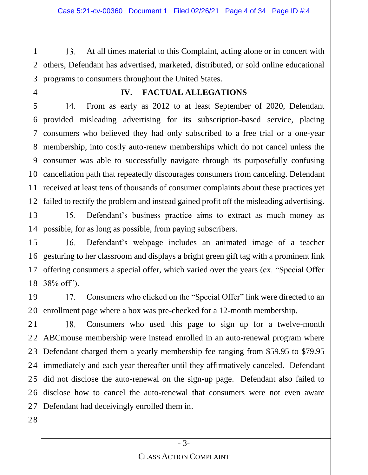1  $13.$ At all times material to this Complaint, acting alone or in concert with 2 others, Defendant has advertised, marketed, distributed, or sold online educational 3 programs to consumers throughout the United States.

# **IV. FACTUAL ALLEGATIONS**

5 14. From as early as 2012 to at least September of 2020, Defendant provided misleading advertising for its subscription-based service, placing 6 7 consumers who believed they had only subscribed to a free trial or a one-year membership, into costly auto-renew memberships which do not cancel unless the 8 consumer was able to successfully navigate through its purposefully confusing 9 cancellation path that repeatedly discourages consumers from canceling. Defendant 10 received at least tens of thousands of consumer complaints about these practices yet 11 failed to rectify the problem and instead gained profit off the misleading advertising.  $12$ 

13 Defendant's business practice aims to extract as much money as  $15.$ possible, for as long as possible, from paying subscribers. 14

15 Defendant's webpage includes an animated image of a teacher 16. 16 gesturing to her classroom and displays a bright green gift tag with a prominent link 17 offering consumers a special offer, which varied over the years (ex. "Special Offer 38% off"). 18

19 17. Consumers who clicked on the "Special Offer" link were directed to an 20 enrollment page where a box was pre-checked for a 12-month membership.

21 Consumers who used this page to sign up for a twelve-month 18. 22 ABCmouse membership were instead enrolled in an auto-renewal program where  $23$ Defendant charged them a yearly membership fee ranging from \$59.95 to \$79.95 24 immediately and each year thereafter until they affirmatively canceled. Defendant did not disclose the auto-renewal on the sign-up page. Defendant also failed to 25 disclose how to cancel the auto-renewal that consumers were not even aware 26 27 Defendant had deceivingly enrolled them in.

28

4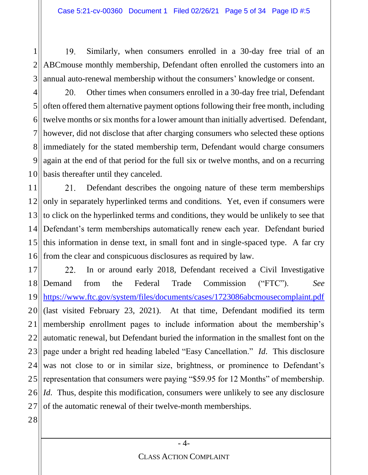1 19. Similarly, when consumers enrolled in a 30-day free trial of an 2 ABCmouse monthly membership, Defendant often enrolled the customers into an 3 annual auto-renewal membership without the consumers' knowledge or consent.

4 20. Other times when consumers enrolled in a 30-day free trial, Defendant 5 often offered them alternative payment options following their free month, including twelve months or six months for a lower amount than initially advertised. Defendant, 6 7 however, did not disclose that after charging consumers who selected these options immediately for the stated membership term, Defendant would charge consumers 8 9 again at the end of that period for the full six or twelve months, and on a recurring 10 basis thereafter until they canceled.

11 21. Defendant describes the ongoing nature of these term memberships only in separately hyperlinked terms and conditions. Yet, even if consumers were 12 to click on the hyperlinked terms and conditions, they would be unlikely to see that 13 Defendant's term memberships automatically renew each year. Defendant buried 14 15 this information in dense text, in small font and in single-spaced type. A far cry 16 from the clear and conspicuous disclosures as required by law.

In or around early 2018, Defendant received a Civil Investigative 17 22. 18 Demand from the Federal Trade Commission ("FTC"). *See* 19 <https://www.ftc.gov/system/files/documents/cases/1723086abcmousecomplaint.pdf> (last visited February 23, 2021). At that time, Defendant modified its term 20 membership enrollment pages to include information about the membership's 21 22 automatic renewal, but Defendant buried the information in the smallest font on the page under a bright red heading labeled "Easy Cancellation." *Id*. This disclosure 23 24 was not close to or in similar size, brightness, or prominence to Defendant's representation that consumers were paying "\$59.95 for 12 Months" of membership. 25 *Id.* Thus, despite this modification, consumers were unlikely to see any disclosure 26 27 of the automatic renewal of their twelve-month memberships.

28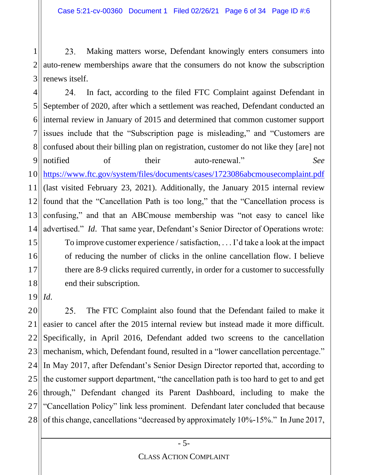1 23. Making matters worse, Defendant knowingly enters consumers into 2 auto-renew memberships aware that the consumers do not know the subscription 3 renews itself.

4 24. In fact, according to the filed FTC Complaint against Defendant in 5 September of 2020, after which a settlement was reached, Defendant conducted an internal review in January of 2015 and determined that common customer support 6 issues include that the "Subscription page is misleading," and "Customers are 7 confused about their billing plan on registration, customer do not like they [are] not 8 9 notified of their auto-renewal." *See* 10 <https://www.ftc.gov/system/files/documents/cases/1723086abcmousecomplaint.pdf> (last visited February 23, 2021). Additionally, the January 2015 internal review 11 found that the "Cancellation Path is too long," that the "Cancellation process is 12 confusing," and that an ABCmouse membership was "not easy to cancel like 13 advertised." *Id*. That same year, Defendant's Senior Director of Operations wrote: 14 To improve customer experience / satisfaction, . . . I'd take a look at the impact 15 16 of reducing the number of clicks in the online cancellation flow. I believe 17 there are 8-9 clicks required currently, in order for a customer to successfully 18 end their subscription.

 $19||Id.$ 

20 25. The FTC Complaint also found that the Defendant failed to make it easier to cancel after the 2015 internal review but instead made it more difficult. 21  $22$ Specifically, in April 2016, Defendant added two screens to the cancellation mechanism, which, Defendant found, resulted in a "lower cancellation percentage." 23 In May 2017, after Defendant's Senior Design Director reported that, according to 24 the customer support department, "the cancellation path is too hard to get to and get 25 through," Defendant changed its Parent Dashboard, including to make the 26 27 "Cancellation Policy" link less prominent. Defendant later concluded that because of this change, cancellations "decreased by approximately 10%-15%." In June 2017, 28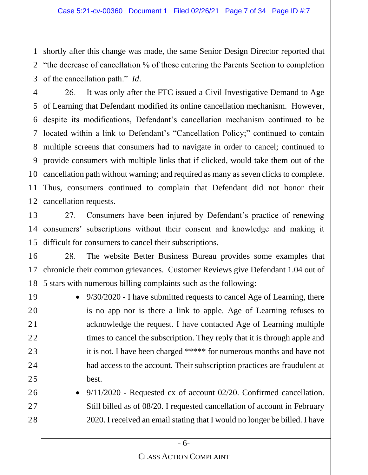1 2 3 shortly after this change was made, the same Senior Design Director reported that "the decrease of cancellation % of those entering the Parents Section to completion of the cancellation path." *Id*.

4 26. It was only after the FTC issued a Civil Investigative Demand to Age 5 of Learning that Defendant modified its online cancellation mechanism. However, despite its modifications, Defendant's cancellation mechanism continued to be 6 located within a link to Defendant's "Cancellation Policy;" continued to contain 7 multiple screens that consumers had to navigate in order to cancel; continued to 8 9 provide consumers with multiple links that if clicked, would take them out of the cancellation path without warning; and required as many as seven clicks to complete. 10 Thus, consumers continued to complain that Defendant did not honor their 11 12 cancellation requests.

13 27. Consumers have been injured by Defendant's practice of renewing consumers' subscriptions without their consent and knowledge and making it 14 15 difficult for consumers to cancel their subscriptions.

16 28. The website Better Business Bureau provides some examples that chronicle their common grievances. Customer Reviews give Defendant 1.04 out of 17 18 5 stars with numerous billing complaints such as the following:

19

20

21

22

23

24

25

26

27

28

• 9/30/2020 - I have submitted requests to cancel Age of Learning, there is no app nor is there a link to apple. Age of Learning refuses to acknowledge the request. I have contacted Age of Learning multiple times to cancel the subscription. They reply that it is through apple and it is not. I have been charged \*\*\*\*\* for numerous months and have not had access to the account. Their subscription practices are fraudulent at best.

• 9/11/2020 - Requested cx of account 02/20. Confirmed cancellation. Still billed as of 08/20. I requested cancellation of account in February 2020. I received an email stating that I would no longer be billed. I have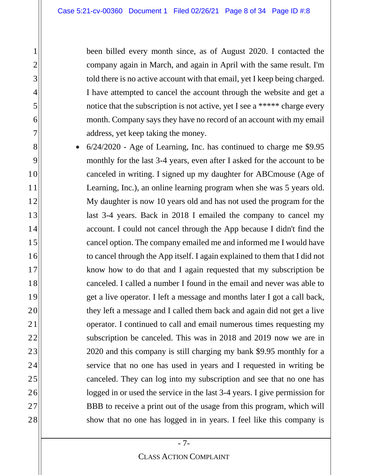been billed every month since, as of August 2020. I contacted the company again in March, and again in April with the same result. I'm told there is no active account with that email, yet I keep being charged. I have attempted to cancel the account through the website and get a notice that the subscription is not active, yet I see a \*\*\*\*\* charge every month. Company says they have no record of an account with my email address, yet keep taking the money.

• 6/24/2020 - Age of Learning, Inc. has continued to charge me \$9.95 monthly for the last 3-4 years, even after I asked for the account to be canceled in writing. I signed up my daughter for ABCmouse (Age of Learning, Inc.), an online learning program when she was 5 years old. My daughter is now 10 years old and has not used the program for the last 3-4 years. Back in 2018 I emailed the company to cancel my account. I could not cancel through the App because I didn't find the cancel option. The company emailed me and informed me I would have to cancel through the App itself. I again explained to them that I did not know how to do that and I again requested that my subscription be canceled. I called a number I found in the email and never was able to get a live operator. I left a message and months later I got a call back, they left a message and I called them back and again did not get a live operator. I continued to call and email numerous times requesting my subscription be canceled. This was in 2018 and 2019 now we are in 2020 and this company is still charging my bank \$9.95 monthly for a service that no one has used in years and I requested in writing be canceled. They can log into my subscription and see that no one has logged in or used the service in the last 3-4 years. I give permission for BBB to receive a print out of the usage from this program, which will show that no one has logged in in years. I feel like this company is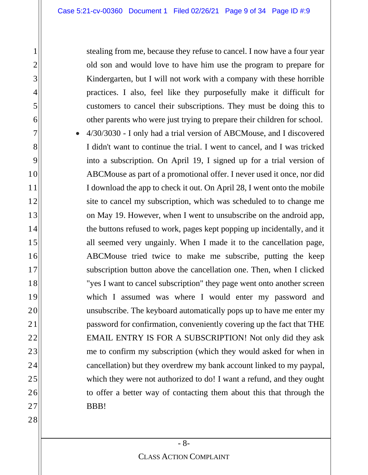stealing from me, because they refuse to cancel. I now have a four year old son and would love to have him use the program to prepare for Kindergarten, but I will not work with a company with these horrible practices. I also, feel like they purposefully make it difficult for customers to cancel their subscriptions. They must be doing this to other parents who were just trying to prepare their children for school.

• 4/30/3030 - I only had a trial version of ABCMouse, and I discovered I didn't want to continue the trial. I went to cancel, and I was tricked into a subscription. On April 19, I signed up for a trial version of ABCMouse as part of a promotional offer. I never used it once, nor did I download the app to check it out. On April 28, I went onto the mobile site to cancel my subscription, which was scheduled to to change me on May 19. However, when I went to unsubscribe on the android app, the buttons refused to work, pages kept popping up incidentally, and it all seemed very ungainly. When I made it to the cancellation page, ABCMouse tried twice to make me subscribe, putting the keep subscription button above the cancellation one. Then, when I clicked "yes I want to cancel subscription" they page went onto another screen which I assumed was where I would enter my password and unsubscribe. The keyboard automatically pops up to have me enter my password for confirmation, conveniently covering up the fact that THE EMAIL ENTRY IS FOR A SUBSCRIPTION! Not only did they ask me to confirm my subscription (which they would asked for when in cancellation) but they overdrew my bank account linked to my paypal, which they were not authorized to do! I want a refund, and they ought to offer a better way of contacting them about this that through the BBB!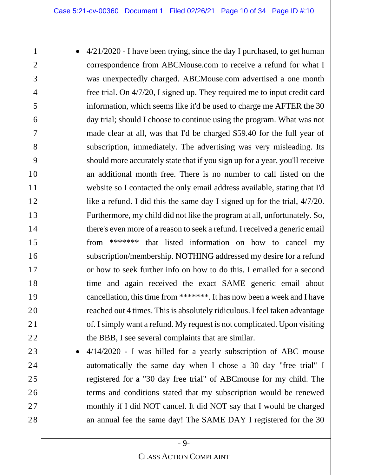- 4/21/2020 I have been trying, since the day I purchased, to get human correspondence from ABCMouse.com to receive a refund for what I was unexpectedly charged. ABCMouse.com advertised a one month free trial. On 4/7/20, I signed up. They required me to input credit card information, which seems like it'd be used to charge me AFTER the 30 day trial; should I choose to continue using the program. What was not made clear at all, was that I'd be charged \$59.40 for the full year of subscription, immediately. The advertising was very misleading. Its should more accurately state that if you sign up for a year, you'll receive an additional month free. There is no number to call listed on the website so I contacted the only email address available, stating that I'd like a refund. I did this the same day I signed up for the trial, 4/7/20. Furthermore, my child did not like the program at all, unfortunately. So, there's even more of a reason to seek a refund. I received a generic email from \*\*\*\*\*\*\* that listed information on how to cancel my subscription/membership. NOTHING addressed my desire for a refund or how to seek further info on how to do this. I emailed for a second time and again received the exact SAME generic email about cancellation, this time from \*\*\*\*\*\*\*. It has now been a week and I have reached out 4 times. This is absolutely ridiculous. I feel taken advantage of. I simply want a refund. My request is not complicated. Upon visiting the BBB, I see several complaints that are similar.
	- 4/14/2020 I was billed for a yearly subscription of ABC mouse automatically the same day when I chose a 30 day "free trial" I registered for a "30 day free trial" of ABCmouse for my child. The terms and conditions stated that my subscription would be renewed monthly if I did NOT cancel. It did NOT say that I would be charged an annual fee the same day! The SAME DAY I registered for the 30

1

2

3

4

5

6

7

8

9

10

11

12

13

14

15

16

17

18

19

20

21

22

23

24

25

26

27

28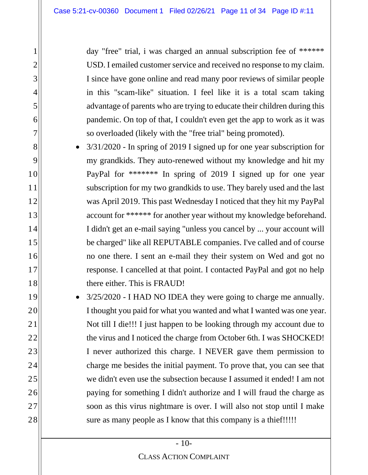day "free" trial, i was charged an annual subscription fee of \*\*\*\*\*\* USD. I emailed customer service and received no response to my claim. I since have gone online and read many poor reviews of similar people in this "scam-like" situation. I feel like it is a total scam taking advantage of parents who are trying to educate their children during this pandemic. On top of that, I couldn't even get the app to work as it was so overloaded (likely with the "free trial" being promoted).

- 3/31/2020 In spring of 2019 I signed up for one year subscription for my grandkids. They auto-renewed without my knowledge and hit my PayPal for \*\*\*\*\*\*\* In spring of 2019 I signed up for one year subscription for my two grandkids to use. They barely used and the last was April 2019. This past Wednesday I noticed that they hit my PayPal account for \*\*\*\*\*\* for another year without my knowledge beforehand. I didn't get an e-mail saying "unless you cancel by ... your account will be charged" like all REPUTABLE companies. I've called and of course no one there. I sent an e-mail they their system on Wed and got no response. I cancelled at that point. I contacted PayPal and got no help there either. This is FRAUD!
- $3/25/2020$  I HAD NO IDEA they were going to charge me annually. I thought you paid for what you wanted and what I wanted was one year. Not till I die!!! I just happen to be looking through my account due to the virus and I noticed the charge from October 6th. I was SHOCKED! I never authorized this charge. I NEVER gave them permission to charge me besides the initial payment. To prove that, you can see that we didn't even use the subsection because I assumed it ended! I am not paying for something I didn't authorize and I will fraud the charge as soon as this virus nightmare is over. I will also not stop until I make sure as many people as I know that this company is a thief!!!!!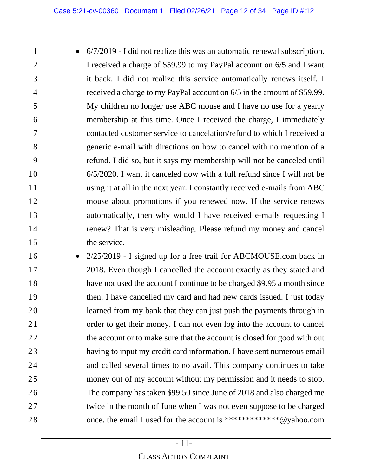• 6/7/2019 - I did not realize this was an automatic renewal subscription. I received a charge of \$59.99 to my PayPal account on 6/5 and I want it back. I did not realize this service automatically renews itself. I received a charge to my PayPal account on 6/5 in the amount of \$59.99. My children no longer use ABC mouse and I have no use for a yearly membership at this time. Once I received the charge, I immediately contacted customer service to cancelation/refund to which I received a generic e-mail with directions on how to cancel with no mention of a refund. I did so, but it says my membership will not be canceled until 6/5/2020. I want it canceled now with a full refund since I will not be using it at all in the next year. I constantly received e-mails from ABC mouse about promotions if you renewed now. If the service renews automatically, then why would I have received e-mails requesting I renew? That is very misleading. Please refund my money and cancel the service.

• 2/25/2019 - I signed up for a free trail for ABCMOUSE.com back in 2018. Even though I cancelled the account exactly as they stated and have not used the account I continue to be charged \$9.95 a month since then. I have cancelled my card and had new cards issued. I just today learned from my bank that they can just push the payments through in order to get their money. I can not even log into the account to cancel the account or to make sure that the account is closed for good with out having to input my credit card information. I have sent numerous email and called several times to no avail. This company continues to take money out of my account without my permission and it needs to stop. The company has taken \$99.50 since June of 2018 and also charged me twice in the month of June when I was not even suppose to be charged once. the email I used for the account is \*\*\*\*\*\*\*\*\*\*\*\*\*@yahoo.com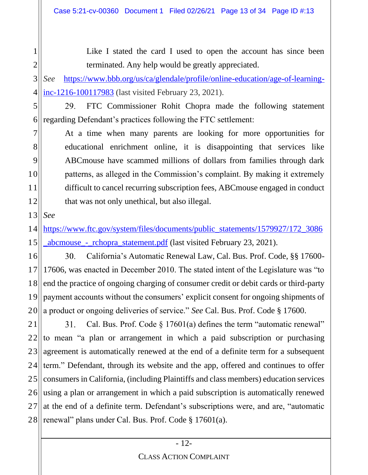Like I stated the card I used to open the account has since been terminated. Any help would be greatly appreciated.

3 4 *See* [https://www.bbb.org/us/ca/glendale/profile/online-education/age-of-learning](https://www.bbb.org/us/ca/glendale/profile/online-education/age-of-learning-inc-1216-100117983)[inc-1216-100117983](https://www.bbb.org/us/ca/glendale/profile/online-education/age-of-learning-inc-1216-100117983) (last visited February 23, 2021).

5 29. FTC Commissioner Rohit Chopra made the following statement regarding Defendant's practices following the FTC settlement: 6

At a time when many parents are looking for more opportunities for educational enrichment online, it is disappointing that services like ABCmouse have scammed millions of dollars from families through dark patterns, as alleged in the Commission's complaint. By making it extremely difficult to cancel recurring subscription fees, ABCmouse engaged in conduct that was not only unethical, but also illegal.

 $13$ *See*

1

2

7

8

9

10

11

12

14 15 [https://www.ftc.gov/system/files/documents/public\\_statements/1579927/172\\_3086](https://www.ftc.gov/system/files/documents/public_statements/1579927/172_3086_abcmouse_-_rchopra_statement.pdf) [\\_abcmouse\\_-\\_rchopra\\_statement.pdf](https://www.ftc.gov/system/files/documents/public_statements/1579927/172_3086_abcmouse_-_rchopra_statement.pdf) (last visited February 23, 2021).

California's Automatic Renewal Law, Cal. Bus. Prof. Code, §§ 17600- 16 30. 17606, was enacted in December 2010. The stated intent of the Legislature was "to 17 end the practice of ongoing charging of consumer credit or debit cards or third-party 18 19 payment accounts without the consumers' explicit consent for ongoing shipments of a product or ongoing deliveries of service." *See* Cal. Bus. Prof. Code § 17600. 20

21 Cal. Bus. Prof. Code § 17601(a) defines the term "automatic renewal" 31. 22 to mean "a plan or arrangement in which a paid subscription or purchasing 23 agreement is automatically renewed at the end of a definite term for a subsequent term." Defendant, through its website and the app, offered and continues to offer 24 consumers in California, (including Plaintiffs and class members) education services 25 using a plan or arrangement in which a paid subscription is automatically renewed 26 27 at the end of a definite term. Defendant's subscriptions were, and are, "automatic renewal" plans under Cal. Bus. Prof. Code § 17601(a). 28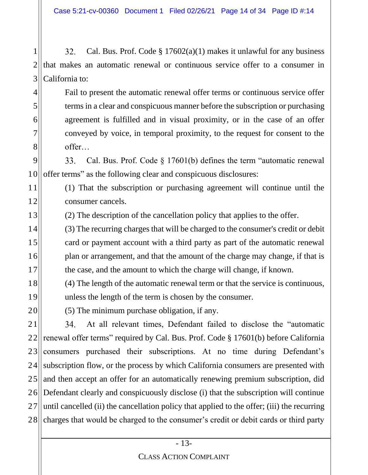1 32. Cal. Bus. Prof. Code  $\S 17602(a)(1)$  makes it unlawful for any business 2 that makes an automatic renewal or continuous service offer to a consumer in 3 California to:

Fail to present the automatic renewal offer terms or continuous service offer terms in a clear and conspicuous manner before the subscription or purchasing agreement is fulfilled and in visual proximity, or in the case of an offer conveyed by voice, in temporal proximity, to the request for consent to the offer…

9 Cal. Bus. Prof. Code § 17601(b) defines the term "automatic renewal  $33.$ 10 offer terms" as the following clear and conspicuous disclosures:

11 12 (1) That the subscription or purchasing agreement will continue until the consumer cancels.

13 (2) The description of the cancellation policy that applies to the offer.

14 15 16 17 (3) The recurring charges that will be charged to the consumer's credit or debit card or payment account with a third party as part of the automatic renewal plan or arrangement, and that the amount of the charge may change, if that is the case, and the amount to which the charge will change, if known.

- 18 19 (4) The length of the automatic renewal term or that the service is continuous, unless the length of the term is chosen by the consumer.
	- (5) The minimum purchase obligation, if any.

4

5

6

7

8

20

21 At all relevant times, Defendant failed to disclose the "automatic 34. 22 renewal offer terms" required by Cal. Bus. Prof. Code § 17601(b) before California consumers purchased their subscriptions. At no time during Defendant's 23 24 subscription flow, or the process by which California consumers are presented with and then accept an offer for an automatically renewing premium subscription, did 25 Defendant clearly and conspicuously disclose (i) that the subscription will continue  $26$ 27 until cancelled (ii) the cancellation policy that applied to the offer; (iii) the recurring charges that would be charged to the consumer's credit or debit cards or third party 28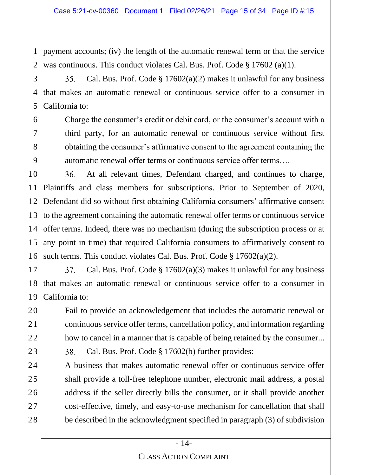1 2 payment accounts; (iv) the length of the automatic renewal term or that the service was continuous. This conduct violates Cal. Bus. Prof. Code § 17602 (a)(1).

3 35. Cal. Bus. Prof. Code  $\S 17602(a)(2)$  makes it unlawful for any business 4 that makes an automatic renewal or continuous service offer to a consumer in 5 California to:

6

7

8

9

23

24

25

26

27

28

Charge the consumer's credit or debit card, or the consumer's account with a third party, for an automatic renewal or continuous service without first obtaining the consumer's affirmative consent to the agreement containing the automatic renewal offer terms or continuous service offer terms….

10 At all relevant times, Defendant charged, and continues to charge, 36. Plaintiffs and class members for subscriptions. Prior to September of 2020, 11 Defendant did so without first obtaining California consumers' affirmative consent 12 to the agreement containing the automatic renewal offer terms or continuous service 13 offer terms. Indeed, there was no mechanism (during the subscription process or at 14 15 any point in time) that required California consumers to affirmatively consent to 16 such terms. This conduct violates Cal. Bus. Prof. Code § 17602(a)(2).

17 37. Cal. Bus. Prof. Code  $\S 17602(a)(3)$  makes it unlawful for any business 18 that makes an automatic renewal or continuous service offer to a consumer in 19 California to:

20 21 22 Fail to provide an acknowledgement that includes the automatic renewal or continuous service offer terms, cancellation policy, and information regarding how to cancel in a manner that is capable of being retained by the consumer...

38. Cal. Bus. Prof. Code § 17602(b) further provides:

A business that makes automatic renewal offer or continuous service offer shall provide a toll-free telephone number, electronic mail address, a postal address if the seller directly bills the consumer, or it shall provide another cost-effective, timely, and easy-to-use mechanism for cancellation that shall be described in the acknowledgment specified in paragraph (3) of subdivision

#### CLASS ACTION COMPLAINT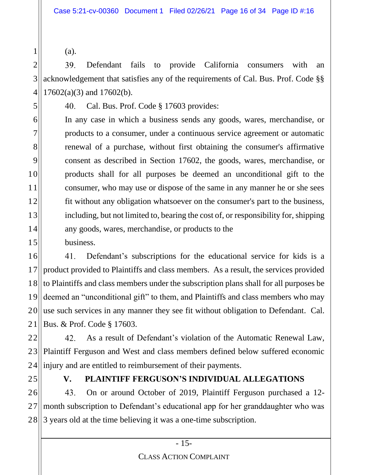(a).

1

5

7

11

2 39. Defendant fails to provide California consumers with an 3 acknowledgement that satisfies any of the requirements of Cal. Bus. Prof. Code §§ 4 17602(a)(3) and 17602(b).

40. Cal. Bus. Prof. Code § 17603 provides:

6 8 9 10 12 13 14 15 In any case in which a business sends any goods, wares, merchandise, or products to a consumer, under a continuous service agreement or automatic renewal of a purchase, without first obtaining the consumer's affirmative consent as described in Section 17602, the goods, wares, merchandise, or products shall for all purposes be deemed an unconditional gift to the consumer, who may use or dispose of the same in any manner he or she sees fit without any obligation whatsoever on the consumer's part to the business, including, but not limited to, bearing the cost of, or responsibility for, shipping any goods, wares, merchandise, or products to the business.

16 41. Defendant's subscriptions for the educational service for kids is a product provided to Plaintiffs and class members. As a result, the services provided 17 18 to Plaintiffs and class members under the subscription plans shall for all purposes be 19 deemed an "unconditional gift" to them, and Plaintiffs and class members who may use such services in any manner they see fit without obligation to Defendant. Cal. 20 Bus. & Prof. Code § 17603. 21

22  $42<sub>1</sub>$ As a result of Defendant's violation of the Automatic Renewal Law, 23 Plaintiff Ferguson and West and class members defined below suffered economic 24 injury and are entitled to reimbursement of their payments.

25

# **V. PLAINTIFF FERGUSON'S INDIVIDUAL ALLEGATIONS**

26 43. On or around October of 2019, Plaintiff Ferguson purchased a 12 month subscription to Defendant's educational app for her granddaughter who was 27 3 years old at the time believing it was a one-time subscription. 28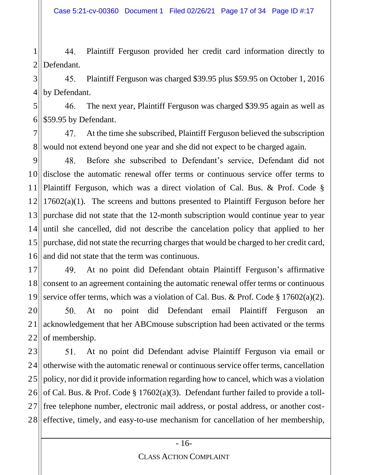1 44. Plaintiff Ferguson provided her credit card information directly to 2 Defendant.

3 45. Plaintiff Ferguson was charged \$39.95 plus \$59.95 on October 1, 2016 4 by Defendant.

5 46. The next year, Plaintiff Ferguson was charged \$39.95 again as well as 6 \$59.95 by Defendant.

7 47. At the time she subscribed, Plaintiff Ferguson believed the subscription 8 would not extend beyond one year and she did not expect to be charged again.

 $|9|$ 48. Before she subscribed to Defendant's service, Defendant did not disclose the automatic renewal offer terms or continuous service offer terms to 10 11 Plaintiff Ferguson, which was a direct violation of Cal. Bus. & Prof. Code § 17602(a)(1). The screens and buttons presented to Plaintiff Ferguson before her 12 purchase did not state that the 12-month subscription would continue year to year 13 until she cancelled, did not describe the cancelation policy that applied to her 14 15 purchase, did not state the recurring charges that would be charged to her credit card, 16 and did not state that the term was continuous.

17 49. At no point did Defendant obtain Plaintiff Ferguson's affirmative 18 consent to an agreement containing the automatic renewal offer terms or continuous 19 service offer terms, which was a violation of Cal. Bus. & Prof. Code § 17602(a)(2).

20 50. At no point did Defendant email Plaintiff Ferguson an acknowledgement that her ABCmouse subscription had been activated or the terms 21 22 of membership.

23 At no point did Defendant advise Plaintiff Ferguson via email or 51. 24 otherwise with the automatic renewal or continuous service offer terms, cancellation policy, nor did it provide information regarding how to cancel, which was a violation 25 of Cal. Bus. & Prof. Code § 17602(a)(3). Defendant further failed to provide a toll-26 27 free telephone number, electronic mail address, or postal address, or another costeffective, timely, and easy-to-use mechanism for cancellation of her membership, 28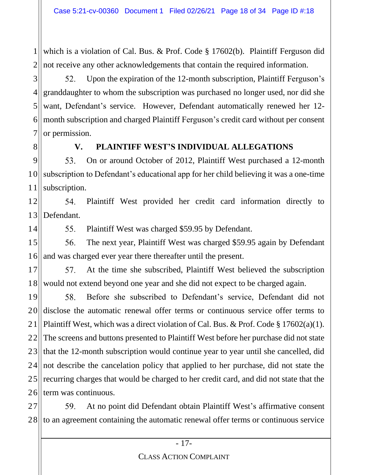1 2 which is a violation of Cal. Bus. & Prof. Code § 17602(b). Plaintiff Ferguson did not receive any other acknowledgements that contain the required information.

3 52. Upon the expiration of the 12-month subscription, Plaintiff Ferguson's 4 granddaughter to whom the subscription was purchased no longer used, nor did she want, Defendant's service. However, Defendant automatically renewed her 12- 5 month subscription and charged Plaintiff Ferguson's credit card without per consent 6 7 or permission.

8

### **V. PLAINTIFF WEST'S INDIVIDUAL ALLEGATIONS**

9 53. On or around October of 2012, Plaintiff West purchased a 12-month subscription to Defendant's educational app for her child believing it was a one-time 10 subscription. 11

12 54. Plaintiff West provided her credit card information directly to  $13$ Defendant.

14

55. Plaintiff West was charged \$59.95 by Defendant.

15 56. The next year, Plaintiff West was charged \$59.95 again by Defendant 16 and was charged ever year there thereafter until the present.

17 57. At the time she subscribed, Plaintiff West believed the subscription 18 would not extend beyond one year and she did not expect to be charged again.

19 58. Before she subscribed to Defendant's service, Defendant did not disclose the automatic renewal offer terms or continuous service offer terms to 20 21 Plaintiff West, which was a direct violation of Cal. Bus. & Prof. Code § 17602(a)(1). 221 The screens and buttons presented to Plaintiff West before her purchase did not state 23 that the 12-month subscription would continue year to year until she cancelled, did 24 not describe the cancelation policy that applied to her purchase, did not state the recurring charges that would be charged to her credit card, and did not state that the 25 term was continuous. 26

27 59. At no point did Defendant obtain Plaintiff West's affirmative consent to an agreement containing the automatic renewal offer terms or continuous service 28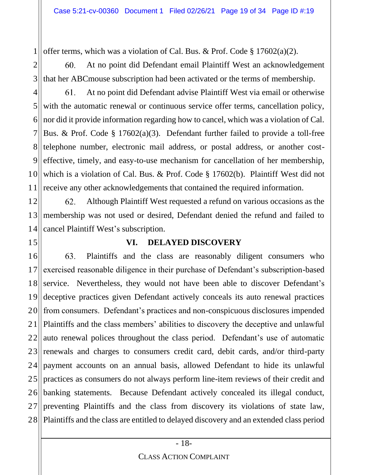1 offer terms, which was a violation of Cal. Bus. & Prof. Code § 17602(a)(2).

2 60. At no point did Defendant email Plaintiff West an acknowledgement 3 that her ABCmouse subscription had been activated or the terms of membership.

At no point did Defendant advise Plaintiff West via email or otherwise 4 61. 5 with the automatic renewal or continuous service offer terms, cancellation policy, nor did it provide information regarding how to cancel, which was a violation of Cal. 6 7 Bus. & Prof. Code § 17602(a)(3). Defendant further failed to provide a toll-free telephone number, electronic mail address, or postal address, or another cost-8 9 effective, timely, and easy-to-use mechanism for cancellation of her membership, which is a violation of Cal. Bus. & Prof. Code § 17602(b). Plaintiff West did not 10 receive any other acknowledgements that contained the required information. 11

12 62. Although Plaintiff West requested a refund on various occasions as the membership was not used or desired, Defendant denied the refund and failed to 13 cancel Plaintiff West's subscription. 14

15

### **VI. DELAYED DISCOVERY**

16 63. Plaintiffs and the class are reasonably diligent consumers who exercised reasonable diligence in their purchase of Defendant's subscription-based 17 18 service. Nevertheless, they would not have been able to discover Defendant's 19 deceptive practices given Defendant actively conceals its auto renewal practices from consumers. Defendant's practices and non-conspicuous disclosures impended 20 Plaintiffs and the class members' abilities to discovery the deceptive and unlawful 21 22 auto renewal polices throughout the class period. Defendant's use of automatic 23 renewals and charges to consumers credit card, debit cards, and/or third-party 24 payment accounts on an annual basis, allowed Defendant to hide its unlawful practices as consumers do not always perform line-item reviews of their credit and 25 banking statements. Because Defendant actively concealed its illegal conduct, 26 preventing Plaintiffs and the class from discovery its violations of state law, 27 28 Plaintiffs and the class are entitled to delayed discovery and an extended class period

#### CLASS ACTION COMPLAINT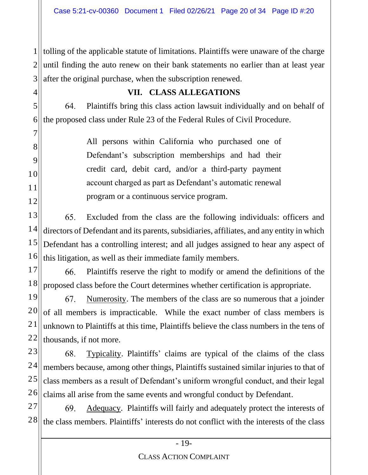1 I I 2 3 tolling of the applicable statute of limitations. Plaintiffs were unaware of the charge until finding the auto renew on their bank statements no earlier than at least year after the original purchase, when the subscription renewed.

### **VII. CLASS ALLEGATIONS**

4

5

7

8

9

10

11

12

64. Plaintiffs bring this class action lawsuit individually and on behalf of 6 the proposed class under Rule 23 of the Federal Rules of Civil Procedure.

> All persons within California who purchased one of Defendant's subscription memberships and had their credit card, debit card, and/or a third-party payment account charged as part as Defendant's automatic renewal program or a continuous service program.

13 65. Excluded from the class are the following individuals: officers and 14 directors of Defendant and its parents, subsidiaries, affiliates, and any entity in which 15 Defendant has a controlling interest; and all judges assigned to hear any aspect of 16 this litigation, as well as their immediate family members.

17 Plaintiffs reserve the right to modify or amend the definitions of the 66. 18 proposed class before the Court determines whether certification is appropriate.

19 67. Numerosity. The members of the class are so numerous that a joinder 20 of all members is impracticable. While the exact number of class members is 21 unknown to Plaintiffs at this time, Plaintiffs believe the class numbers in the tens of 22 thousands, if not more.

23 68. Typicality. Plaintiffs' claims are typical of the claims of the class 24 members because, among other things, Plaintiffs sustained similar injuries to that of 25 class members as a result of Defendant's uniform wrongful conduct, and their legal 26 claims all arise from the same events and wrongful conduct by Defendant.

27 69. Adequacy. Plaintiffs will fairly and adequately protect the interests of 28 the class members. Plaintiffs' interests do not conflict with the interests of the class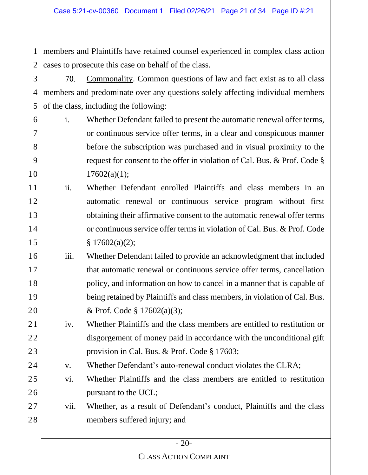1 II 2 members and Plaintiffs have retained counsel experienced in complex class action cases to prosecute this case on behalf of the class.

3 70. Commonality. Common questions of law and fact exist as to all class 4 members and predominate over any questions solely affecting individual members 5 of the class, including the following:

- 6 7 8 9 10 i. Whether Defendant failed to present the automatic renewal offer terms, or continuous service offer terms, in a clear and conspicuous manner before the subscription was purchased and in visual proximity to the request for consent to the offer in violation of Cal. Bus. & Prof. Code §  $17602(a)(1);$
- 11 12 13 14 15 ii. Whether Defendant enrolled Plaintiffs and class members in an automatic renewal or continuous service program without first obtaining their affirmative consent to the automatic renewal offer terms or continuous service offer terms in violation of Cal. Bus. & Prof. Code  $§ 17602(a)(2);$
- 16 17 18 19 20 iii. Whether Defendant failed to provide an acknowledgment that included that automatic renewal or continuous service offer terms, cancellation policy, and information on how to cancel in a manner that is capable of being retained by Plaintiffs and class members, in violation of Cal. Bus. & Prof. Code § 17602(a)(3);
	- iv. Whether Plaintiffs and the class members are entitled to restitution or disgorgement of money paid in accordance with the unconditional gift provision in Cal. Bus. & Prof. Code § 17603;
		- v. Whether Defendant's auto-renewal conduct violates the CLRA;

21

22

23

24

25

26

27

28

vi. Whether Plaintiffs and the class members are entitled to restitution pursuant to the UCL;

# vii. Whether, as a result of Defendant's conduct, Plaintiffs and the class members suffered injury; and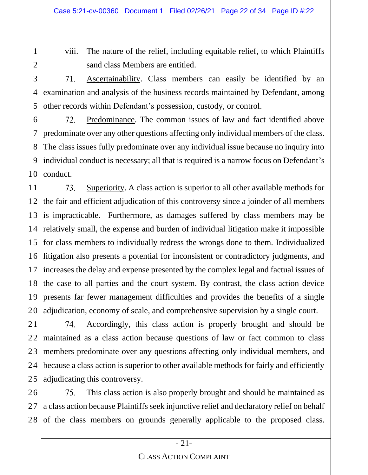viii. The nature of the relief, including equitable relief, to which Plaintiffs sand class Members are entitled.

71. Ascertainability. Class members can easily be identified by an examination and analysis of the business records maintained by Defendant, among other records within Defendant's possession, custody, or control.

6 72. Predominance. The common issues of law and fact identified above 7 predominate over any other questions affecting only individual members of the class. 8 The class issues fully predominate over any individual issue because no inquiry into 9 individual conduct is necessary; all that is required is a narrow focus on Defendant's 10 conduct.

11 73. Superiority. A class action is superior to all other available methods for the fair and efficient adjudication of this controversy since a joinder of all members 12  $13$ is impracticable. Furthermore, as damages suffered by class members may be relatively small, the expense and burden of individual litigation make it impossible 14 for class members to individually redress the wrongs done to them. Individualized 15 16 litigation also presents a potential for inconsistent or contradictory judgments, and increases the delay and expense presented by the complex legal and factual issues of 17 18 the case to all parties and the court system. By contrast, the class action device 19 presents far fewer management difficulties and provides the benefits of a single adjudication, economy of scale, and comprehensive supervision by a single court. 20

21 Accordingly, this class action is properly brought and should be 74. 22 maintained as a class action because questions of law or fact common to class 23 members predominate over any questions affecting only individual members, and because a class action is superior to other available methods for fairly and efficiently 24 adjudicating this controversy. 25

This class action is also properly brought and should be maintained as 26 75. a class action because Plaintiffs seek injunctive relief and declaratory relief on behalf 27 of the class members on grounds generally applicable to the proposed class. 28

### - 21-

#### CLASS ACTION COMPLAINT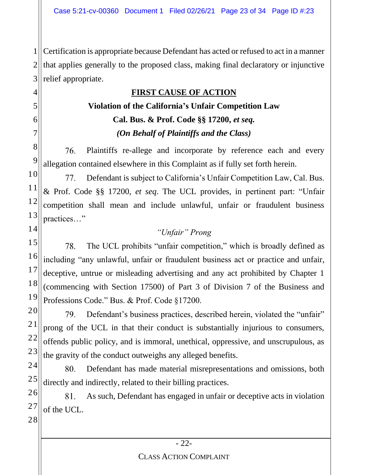1 2 3 Certification is appropriate because Defendant has acted or refused to act in a manner that applies generally to the proposed class, making final declaratory or injunctive relief appropriate.

# **FIRST CAUSE OF ACTION**

# **Violation of the California's Unfair Competition Law Cal. Bus. & Prof. Code §§ 17200,** *et seq. (On Behalf of Plaintiffs and the Class)*

Plaintiffs re-allege and incorporate by reference each and every 76. allegation contained elsewhere in this Complaint as if fully set forth herein.

77. Defendant is subject to California's Unfair Competition Law, Cal. Bus. & Prof. Code §§ 17200, *et seq*. The UCL provides, in pertinent part: "Unfair competition shall mean and include unlawful, unfair or fraudulent business practices…"

# *"Unfair" Prong*

78. The UCL prohibits "unfair competition," which is broadly defined as including "any unlawful, unfair or fraudulent business act or practice and unfair, deceptive, untrue or misleading advertising and any act prohibited by Chapter 1 (commencing with Section 17500) of Part 3 of Division 7 of the Business and Professions Code." Bus. & Prof. Code §17200.

79. Defendant's business practices, described herein, violated the "unfair" prong of the UCL in that their conduct is substantially injurious to consumers, offends public policy, and is immoral, unethical, oppressive, and unscrupulous, as the gravity of the conduct outweighs any alleged benefits.

80. Defendant has made material misrepresentations and omissions, both directly and indirectly, related to their billing practices.

81. As such, Defendant has engaged in unfair or deceptive acts in violation of the UCL.

4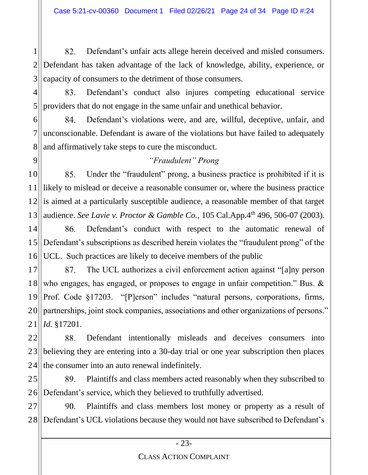1 82. Defendant's unfair acts allege herein deceived and misled consumers. 2 Defendant has taken advantage of the lack of knowledge, ability, experience, or 3 capacity of consumers to the detriment of those consumers.

4 83. Defendant's conduct also injures competing educational service 5 providers that do not engage in the same unfair and unethical behavior.

6 84. Defendant's violations were, and are, willful, deceptive, unfair, and 7 unconscionable. Defendant is aware of the violations but have failed to adequately and affirmatively take steps to cure the misconduct. 8

# *"Fraudulent" Prong*

9

10 85. Under the "fraudulent" prong, a business practice is prohibited if it is likely to mislead or deceive a reasonable consumer or, where the business practice 11 is aimed at a particularly susceptible audience, a reasonable member of that target 12 audience. *See Lavie v. Proctor & Gamble Co.*, 105 Cal.App.4<sup>th</sup> 496, 506-07 (2003). 13

14 Defendant's conduct with respect to the automatic renewal of 86. Defendant's subscriptions as described herein violates the "fraudulent prong" of the 15 16 UCL. Such practices are likely to deceive members of the public

The UCL authorizes a civil enforcement action against "[a]ny person 17 87. who engages, has engaged, or proposes to engage in unfair competition." Bus. & 18 19 Prof. Code §17203. "[P]erson" includes "natural persons, corporations, firms, partnerships, joint stock companies, associations and other organizations of persons." 20 21 *Id.* §17201.

22 Defendant intentionally misleads and deceives consumers into 88. 23 believing they are entering into a 30-day trial or one year subscription then places 24 the consumer into an auto renewal indefinitely.

25 89. Plaintiffs and class members acted reasonably when they subscribed to Defendant's service, which they believed to truthfully advertised.  $26$ 

27 90. Plaintiffs and class members lost money or property as a result of Defendant's UCL violations because they would not have subscribed to Defendant's 2.8<sub>II</sub>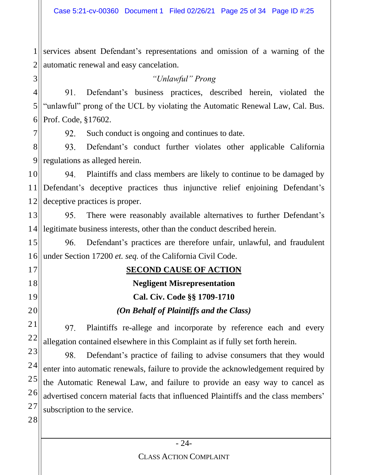1 II  $2\parallel$ services absent Defendant's representations and omission of a warning of the automatic renewal and easy cancelation.

*"Unlawful" Prong*

4 91. Defendant's business practices, described herein, violated the 5 "unlawful" prong of the UCL by violating the Automatic Renewal Law, Cal. Bus. Prof. Code, §17602. 6

92. Such conduct is ongoing and continues to date.

8 Defendant's conduct further violates other applicable California 93. 9 regulations as alleged herein.

10 94. Plaintiffs and class members are likely to continue to be damaged by 11 Defendant's deceptive practices thus injunctive relief enjoining Defendant's 12 deceptive practices is proper.

13 95. There were reasonably available alternatives to further Defendant's legitimate business interests, other than the conduct described herein.  $14$ 

15 96. Defendant's practices are therefore unfair, unlawful, and fraudulent 16 under Section 17200 *et. seq.* of the California Civil Code.

## **SECOND CAUSE OF ACTION**

# **Negligent Misrepresentation**

## **Cal. Civ. Code §§ 1709-1710**

## *(On Behalf of Plaintiffs and the Class)*

21 97. Plaintiffs re-allege and incorporate by reference each and every 22 allegation contained elsewhere in this Complaint as if fully set forth herein.

23 98. Defendant's practice of failing to advise consumers that they would 24 enter into automatic renewals, failure to provide the acknowledgement required by 25 the Automatic Renewal Law, and failure to provide an easy way to cancel as 26 advertised concern material facts that influenced Plaintiffs and the class members' 27 subscription to the service.

28

3

7

17

18

19

20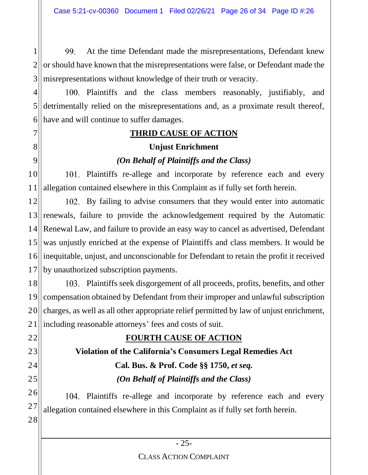1 99. At the time Defendant made the misrepresentations, Defendant knew 2 or should have known that the misrepresentations were false, or Defendant made the 3 misrepresentations without knowledge of their truth or veracity.

4 5 6 100. Plaintiffs and the class members reasonably, justifiably, and detrimentally relied on the misrepresentations and, as a proximate result thereof, have and will continue to suffer damages.

# **THRID CAUSE OF ACTION**

7

8

9

22

23

24

25

# **Unjust Enrichment**

# *(On Behalf of Plaintiffs and the Class)*

10 11 101. Plaintiffs re-allege and incorporate by reference each and every allegation contained elsewhere in this Complaint as if fully set forth herein.

12  $13$ 14 15 16 17 102. By failing to advise consumers that they would enter into automatic renewals, failure to provide the acknowledgement required by the Automatic Renewal Law, and failure to provide an easy way to cancel as advertised, Defendant was unjustly enriched at the expense of Plaintiffs and class members. It would be inequitable, unjust, and unconscionable for Defendant to retain the profit it received by unauthorized subscription payments.

18 19 20 21 Plaintiffs seek disgorgement of all proceeds, profits, benefits, and other compensation obtained by Defendant from their improper and unlawful subscription charges, as well as all other appropriate relief permitted by law of unjust enrichment, including reasonable attorneys' fees and costs of suit.

# **FOURTH CAUSE OF ACTION**

**Violation of the California's Consumers Legal Remedies Act Cal. Bus. & Prof. Code §§ 1750,** *et seq. (On Behalf of Plaintiffs and the Class)*

26 27 28 104. Plaintiffs re-allege and incorporate by reference each and every allegation contained elsewhere in this Complaint as if fully set forth herein.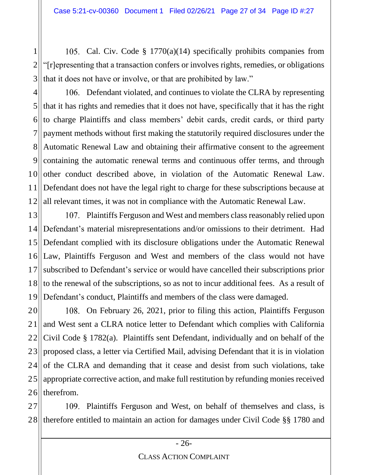2 3 105. Cal. Civ. Code  $\S$  1770(a)(14) specifically prohibits companies from "[r]epresenting that a transaction confers or involves rights, remedies, or obligations that it does not have or involve, or that are prohibited by law."

1

4 5 6 7 8 9 10 11 12 106. Defendant violated, and continues to violate the CLRA by representing that it has rights and remedies that it does not have, specifically that it has the right to charge Plaintiffs and class members' debit cards, credit cards, or third party payment methods without first making the statutorily required disclosures under the Automatic Renewal Law and obtaining their affirmative consent to the agreement containing the automatic renewal terms and continuous offer terms, and through other conduct described above, in violation of the Automatic Renewal Law. Defendant does not have the legal right to charge for these subscriptions because at all relevant times, it was not in compliance with the Automatic Renewal Law.

13 14 15 16 17 18 19 107. Plaintiffs Ferguson and West and members class reasonably relied upon Defendant's material misrepresentations and/or omissions to their detriment. Had Defendant complied with its disclosure obligations under the Automatic Renewal Law, Plaintiffs Ferguson and West and members of the class would not have subscribed to Defendant's service or would have cancelled their subscriptions prior to the renewal of the subscriptions, so as not to incur additional fees. As a result of Defendant's conduct, Plaintiffs and members of the class were damaged.

20 21 22 23 24 25 26 108. On February 26, 2021, prior to filing this action, Plaintiffs Ferguson and West sent a CLRA notice letter to Defendant which complies with California Civil Code § 1782(a). Plaintiffs sent Defendant, individually and on behalf of the proposed class, a letter via Certified Mail, advising Defendant that it is in violation of the CLRA and demanding that it cease and desist from such violations, take appropriate corrective action, and make full restitution by refunding monies received therefrom.

27 28 109. Plaintiffs Ferguson and West, on behalf of themselves and class, is therefore entitled to maintain an action for damages under Civil Code §§ 1780 and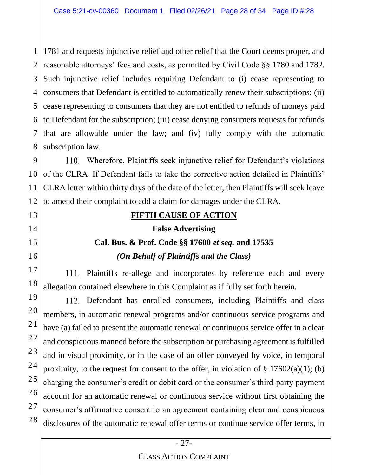1 II 2 3 4 5 6 7 8 1781 and requests injunctive relief and other relief that the Court deems proper, and reasonable attorneys' fees and costs, as permitted by Civil Code §§ 1780 and 1782. Such injunctive relief includes requiring Defendant to (i) cease representing to consumers that Defendant is entitled to automatically renew their subscriptions; (ii) cease representing to consumers that they are not entitled to refunds of moneys paid to Defendant for the subscription; (iii) cease denying consumers requests for refunds that are allowable under the law; and (iv) fully comply with the automatic subscription law.

9 10<sup>II</sup> 11 12 Wherefore, Plaintiffs seek injunctive relief for Defendant's violations of the CLRA. If Defendant fails to take the corrective action detailed in Plaintiffs' CLRA letter within thirty days of the date of the letter, then Plaintiffs will seek leave to amend their complaint to add a claim for damages under the CLRA.

13

14

15

16

17

18

20

21

27

# **FIFTH CAUSE OF ACTION False Advertising Cal. Bus. & Prof. Code §§ 17600** *et seq.* **and 17535** *(On Behalf of Plaintiffs and the Class)*

111. Plaintiffs re-allege and incorporates by reference each and every allegation contained elsewhere in this Complaint as if fully set forth herein.

19 22 23 24 25 26 28 112. Defendant has enrolled consumers, including Plaintiffs and class members, in automatic renewal programs and/or continuous service programs and have (a) failed to present the automatic renewal or continuous service offer in a clear and conspicuous manned before the subscription or purchasing agreement is fulfilled and in visual proximity, or in the case of an offer conveyed by voice, in temporal proximity, to the request for consent to the offer, in violation of  $\S 17602(a)(1)$ ; (b) charging the consumer's credit or debit card or the consumer's third-party payment account for an automatic renewal or continuous service without first obtaining the consumer's affirmative consent to an agreement containing clear and conspicuous disclosures of the automatic renewal offer terms or continue service offer terms, in

#### CLASS ACTION COMPLAINT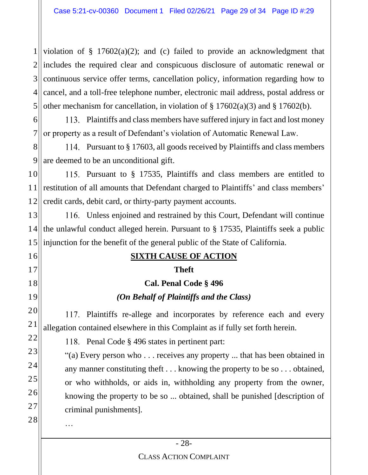1 II 2 includes the required clear and conspicuous disclosure of automatic renewal or 3 4 5 violation of  $\S$  17602(a)(2); and (c) failed to provide an acknowledgment that continuous service offer terms, cancellation policy, information regarding how to cancel, and a toll-free telephone number, electronic mail address, postal address or other mechanism for cancellation, in violation of  $\S 17602(a)(3)$  and  $\S 17602(b)$ .

6 7 Plaintiffs and class members have suffered injury in fact and lost money or property as a result of Defendant's violation of Automatic Renewal Law.

8 9 Pursuant to § 17603, all goods received by Plaintiffs and class members are deemed to be an unconditional gift.

10 11 12 Pursuant to § 17535, Plaintiffs and class members are entitled to restitution of all amounts that Defendant charged to Plaintiffs' and class members' credit cards, debit card, or thirty-party payment accounts.

13 14 15 116. Unless enjoined and restrained by this Court, Defendant will continue the unlawful conduct alleged herein. Pursuant to § 17535, Plaintiffs seek a public injunction for the benefit of the general public of the State of California.

## **SIXTH CAUSE OF ACTION**

#### **Theft**

# **Cal. Penal Code § 496**

#### *(On Behalf of Plaintiffs and the Class)*

20 21 117. Plaintiffs re-allege and incorporates by reference each and every allegation contained elsewhere in this Complaint as if fully set forth herein.

118. Penal Code § 496 states in pertinent part:

"(a) Every person who . . . receives any property ... that has been obtained in any manner constituting theft . . . knowing the property to be so . . . obtained, or who withholds, or aids in, withholding any property from the owner, knowing the property to be so ... obtained, shall be punished [description of criminal punishments].

…

16

17

18

19

22

23

24

25

26

27

28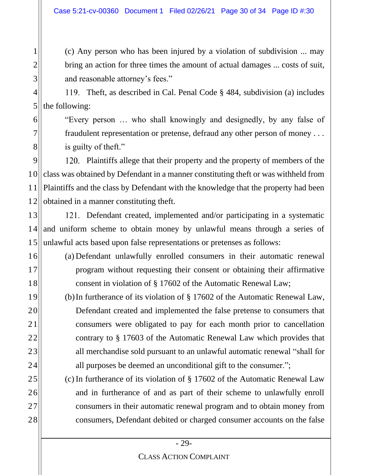(c) Any person who has been injured by a violation of subdivision ... may bring an action for three times the amount of actual damages ... costs of suit, and reasonable attorney's fees."

4 5 Theft, as described in Cal. Penal Code § 484, subdivision (a) includes the following:

1

2

3

6

7

8

16

17

18

19

20

21

22

23

24

25

26

27

28

"Every person … who shall knowingly and designedly, by any false of fraudulent representation or pretense, defraud any other person of money . . . is guilty of theft."

9 10 11 12 120. Plaintiffs allege that their property and the property of members of the class was obtained by Defendant in a manner constituting theft or was withheld from Plaintiffs and the class by Defendant with the knowledge that the property had been obtained in a manner constituting theft.

13 14 15 121. Defendant created, implemented and/or participating in a systematic and uniform scheme to obtain money by unlawful means through a series of unlawful acts based upon false representations or pretenses as follows:

- (a) Defendant unlawfully enrolled consumers in their automatic renewal program without requesting their consent or obtaining their affirmative consent in violation of § 17602 of the Automatic Renewal Law;
	- (b)In furtherance of its violation of § 17602 of the Automatic Renewal Law, Defendant created and implemented the false pretense to consumers that consumers were obligated to pay for each month prior to cancellation contrary to § 17603 of the Automatic Renewal Law which provides that all merchandise sold pursuant to an unlawful automatic renewal "shall for all purposes be deemed an unconditional gift to the consumer.";
	- (c) In furtherance of its violation of § 17602 of the Automatic Renewal Law and in furtherance of and as part of their scheme to unlawfully enroll consumers in their automatic renewal program and to obtain money from consumers, Defendant debited or charged consumer accounts on the false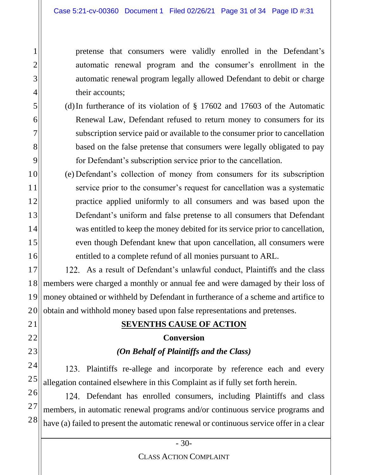pretense that consumers were validly enrolled in the Defendant's automatic renewal program and the consumer's enrollment in the automatic renewal program legally allowed Defendant to debit or charge their accounts;

- (d)In furtherance of its violation of § 17602 and 17603 of the Automatic Renewal Law, Defendant refused to return money to consumers for its subscription service paid or available to the consumer prior to cancellation based on the false pretense that consumers were legally obligated to pay for Defendant's subscription service prior to the cancellation.
- (e) Defendant's collection of money from consumers for its subscription service prior to the consumer's request for cancellation was a systematic practice applied uniformly to all consumers and was based upon the Defendant's uniform and false pretense to all consumers that Defendant was entitled to keep the money debited for its service prior to cancellation, even though Defendant knew that upon cancellation, all consumers were entitled to a complete refund of all monies pursuant to ARL.

122. As a result of Defendant's unlawful conduct, Plaintiffs and the class members were charged a monthly or annual fee and were damaged by their loss of money obtained or withheld by Defendant in furtherance of a scheme and artifice to obtain and withhold money based upon false representations and pretenses.

#### **SEVENTHS CAUSE OF ACTION**

#### **Conversion**

#### *(On Behalf of Plaintiffs and the Class)*

123. Plaintiffs re-allege and incorporate by reference each and every allegation contained elsewhere in this Complaint as if fully set forth herein.

124. Defendant has enrolled consumers, including Plaintiffs and class members, in automatic renewal programs and/or continuous service programs and have (a) failed to present the automatic renewal or continuous service offer in a clear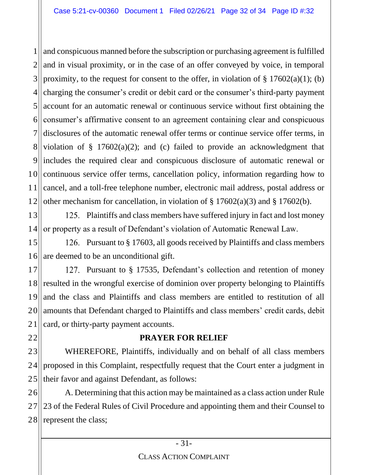1 2 3 4 5 6 7 8  $9$ 10 11 12 and conspicuous manned before the subscription or purchasing agreement is fulfilled and in visual proximity, or in the case of an offer conveyed by voice, in temporal proximity, to the request for consent to the offer, in violation of  $\S 17602(a)(1)$ ; (b) charging the consumer's credit or debit card or the consumer's third-party payment account for an automatic renewal or continuous service without first obtaining the consumer's affirmative consent to an agreement containing clear and conspicuous disclosures of the automatic renewal offer terms or continue service offer terms, in violation of  $\S$  17602(a)(2); and (c) failed to provide an acknowledgment that includes the required clear and conspicuous disclosure of automatic renewal or continuous service offer terms, cancellation policy, information regarding how to cancel, and a toll-free telephone number, electronic mail address, postal address or other mechanism for cancellation, in violation of § 17602(a)(3) and § 17602(b).

13 14 125. Plaintiffs and class members have suffered injury in fact and lost money or property as a result of Defendant's violation of Automatic Renewal Law.

15 16 126. Pursuant to § 17603, all goods received by Plaintiffs and class members are deemed to be an unconditional gift.

17 18 19 20 21 127. Pursuant to § 17535, Defendant's collection and retention of money resulted in the wrongful exercise of dominion over property belonging to Plaintiffs and the class and Plaintiffs and class members are entitled to restitution of all amounts that Defendant charged to Plaintiffs and class members' credit cards, debit card, or thirty-party payment accounts.

22

#### **PRAYER FOR RELIEF**

23 24 25 WHEREFORE, Plaintiffs, individually and on behalf of all class members proposed in this Complaint, respectfully request that the Court enter a judgment in their favor and against Defendant, as follows:

26 27 28 A. Determining that this action may be maintained as a class action under Rule 23 of the Federal Rules of Civil Procedure and appointing them and their Counsel to represent the class;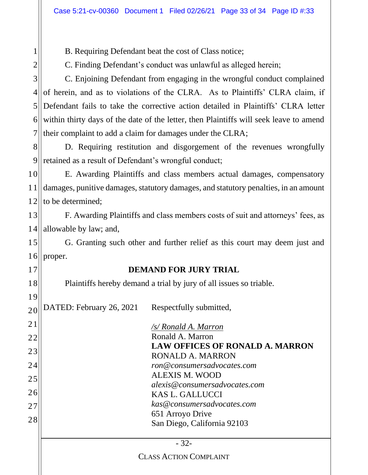B. Requiring Defendant beat the cost of Class notice;

C. Finding Defendant's conduct was unlawful as alleged herein;

C. Enjoining Defendant from engaging in the wrongful conduct complained of herein, and as to violations of the CLRA. As to Plaintiffs' CLRA claim, if Defendant fails to take the corrective action detailed in Plaintiffs' CLRA letter within thirty days of the date of the letter, then Plaintiffs will seek leave to amend their complaint to add a claim for damages under the CLRA;

8 9 D. Requiring restitution and disgorgement of the revenues wrongfully retained as a result of Defendant's wrongful conduct;

10 11 12 E. Awarding Plaintiffs and class members actual damages, compensatory damages, punitive damages, statutory damages, and statutory penalties, in an amount to be determined;

13 14 F. Awarding Plaintiffs and class members costs of suit and attorneys' fees, as allowable by law; and,

15 16 G. Granting such other and further relief as this court may deem just and proper.

#### **DEMAND FOR JURY TRIAL**

Plaintiffs hereby demand a trial by jury of all issues so triable.

DATED: February 26, 2021 Respectfully submitted,

| 21 | /s/ Ronald A. Marron                                              |
|----|-------------------------------------------------------------------|
| 22 | Ronald A. Marron                                                  |
| 23 | <b>LAW OFFICES OF RONALD A. MARRON</b><br><b>RONALD A. MARRON</b> |
| 24 | ron@consumersadvocates.com                                        |
| 25 | <b>ALEXIS M. WOOD</b>                                             |
|    | alexis@consumersadvocates.com                                     |
| 26 | <b>KAS L. GALLUCCI</b>                                            |
| 27 | kas@consumersadvocates.com                                        |
|    | 651 Arroyo Drive                                                  |
| 28 | San Diego, California 92103                                       |
|    |                                                                   |
|    | $-32-$                                                            |
|    | <b>CLASS ACTION COMPLAINT</b>                                     |